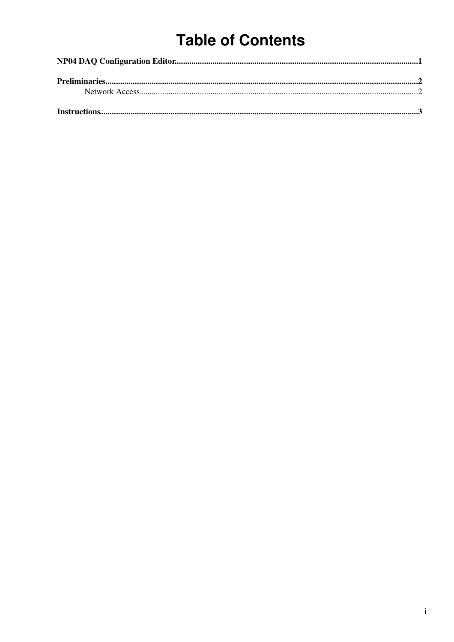# **Table of Contents**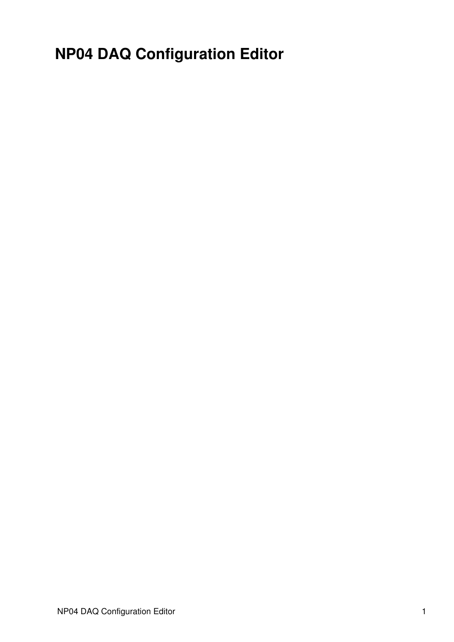<span id="page-1-0"></span>**NP04 DAQ Configuration Editor**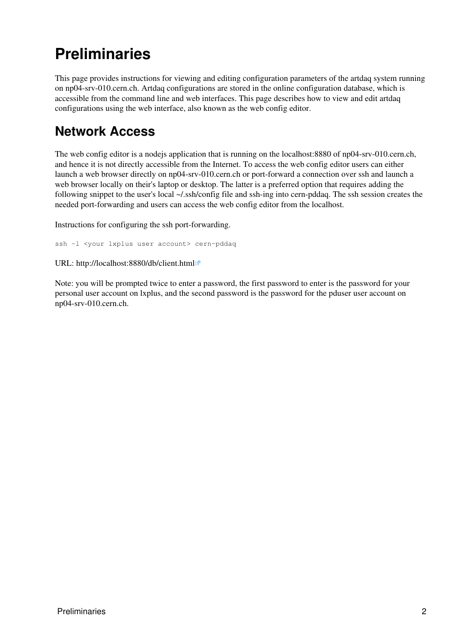# <span id="page-2-0"></span>**Preliminaries**

This page provides instructions for viewing and editing configuration parameters of the artdaq system running on np04-srv-010.cern.ch. Artdaq configurations are stored in the online configuration database, which is accessible from the command line and web interfaces. This page describes how to view and edit artdaq configurations using the web interface, also known as the web config editor.

### <span id="page-2-1"></span>**Network Access**

The web config editor is a nodejs application that is running on the localhost:8880 of np04-srv-010.cern.ch, and hence it is not directly accessible from the Internet. To access the web config editor users can either launch a web browser directly on np04-srv-010.cern.ch or port-forward a connection over ssh and launch a web browser locally on their's laptop or desktop. The latter is a preferred option that requires adding the following snippet to the user's local ~/.ssh/config file and ssh-ing into cern-pddaq. The ssh session creates the needed port-forwarding and users can access the web config editor from the localhost.

[Instructions for configuring the ssh port-forwarding.](https://twiki.cern.ch/twiki/bin/view/CENF/ArtdaqWebConfigEditorSSHConfig)

ssh -1 <your lxplus user account> cern-pddaq

URL: <http://localhost:8880/db/client.html>

Note: you will be prompted twice to enter a password, the first password to enter is the password for your personal user account on lxplus, and the second password is the password for the pduser user account on np04-srv-010.cern.ch.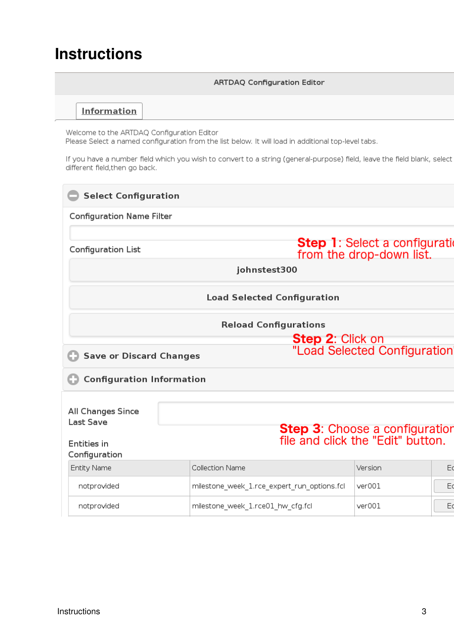## <span id="page-3-0"></span>**Instructions**

### **ARTDAQ Configuration Editor** Information Welcome to the ARTDAQ Configuration Editor Please Select a named configuration from the list below. It will load in additional top-level tabs. If you have a number field which you wish to convert to a string (general-purpose) field, leave the field blank, select different field, then go back. **Select Configuration Configuration Name Filter** Step 1: Select a configuration Configuration List from the drop-down list. johnstest300 **Load Selected Configuration Reload Configurations Step 2: Click on<br>"Load Selected Configuration** Save or Discard Changes Configuration Information All Changes Since Last Save **Step 3:** Choose a configuration<br>file and click the "Edit" button. **Entities in** Configuration Collection Name **Entity Name** Version  $E$ notprovided  $ver001$ milestone\_week\_1.rce\_expert\_run\_options.fcl E notprovided milestone\_week\_1.rce01\_hw\_cfg.fcl  $ver001$  $E<sub>0</sub>$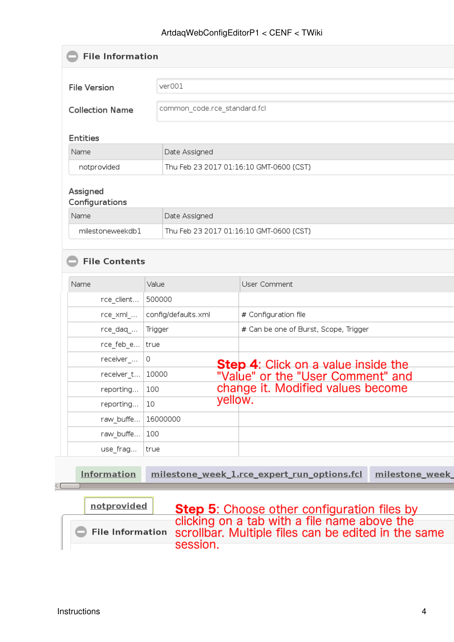#### ArtdaqWebConfigEditorP1 < CENF < TWiki

| <b>File Information</b>    |                                         |                                                               |  |  |
|----------------------------|-----------------------------------------|---------------------------------------------------------------|--|--|
| <b>File Version</b>        | ver001                                  |                                                               |  |  |
| <b>Collection Name</b>     |                                         | common_code.rce_standard.fcl                                  |  |  |
| <b>Entities</b>            |                                         |                                                               |  |  |
| Name                       | Date Assigned                           |                                                               |  |  |
| notprovided                |                                         | Thu Feb 23 2017 01:16:10 GMT-0600 (CST)                       |  |  |
| Assigned<br>Configurations |                                         |                                                               |  |  |
| Name                       | Date Assigned                           |                                                               |  |  |
| milestoneweekdb1           | Thu Feb 23 2017 01:16:10 GMT-0600 (CST) |                                                               |  |  |
| Name<br>rce_client         | Value<br>500000                         | User Comment                                                  |  |  |
|                            |                                         |                                                               |  |  |
| rce_xml_…                  | config/defaults.xml                     | # Configuration file                                          |  |  |
| rce_daq_…                  | Trigger                                 | # Can be one of Burst, Scope, Trigger                         |  |  |
| rce_feb_e                  | true                                    |                                                               |  |  |
| receiver_                  | 0                                       | <b>Step 4:</b> Click on a value inside the                    |  |  |
| receiver_t                 | 10000                                   | "Value" or the "User Comment" and                             |  |  |
|                            | 100                                     | change it. Modified values become                             |  |  |
| reporting                  |                                         |                                                               |  |  |
| reporting                  | 10                                      | yellow.                                                       |  |  |
| raw_buffe                  | 16000000                                |                                                               |  |  |
| raw buffe                  | 100                                     |                                                               |  |  |
| use frag                   | true                                    |                                                               |  |  |
| <b>Information</b>         |                                         | milestone_week_1.rce_expert_run_options.fcl<br>milestone week |  |  |